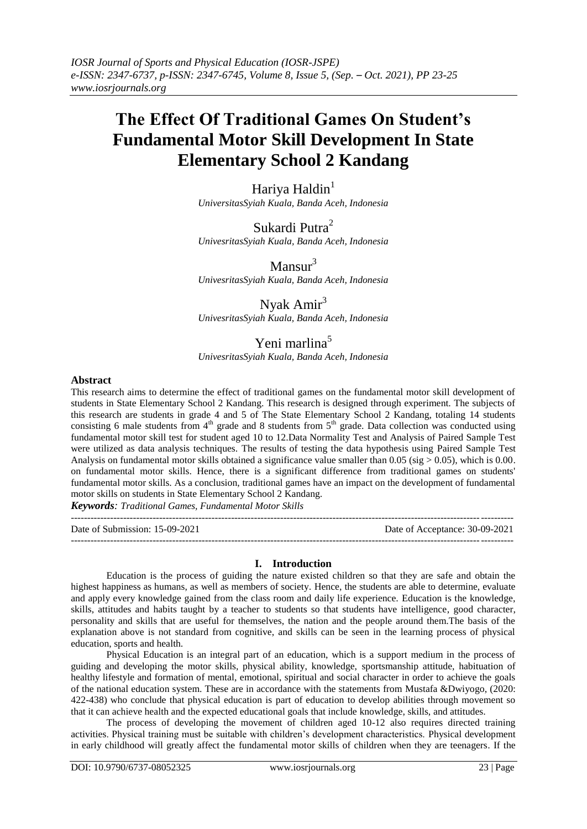# **The Effect Of Traditional Games On Student's Fundamental Motor Skill Development In State Elementary School 2 Kandang**

Hariya Haldin<sup>1</sup> *UniversitasSyiah Kuala, Banda Aceh, Indonesia*

Sukardi Putra<sup>2</sup> *UnivesritasSyiah Kuala, Banda Aceh, Indonesia*

 $Mansur<sup>3</sup>$ *UnivesritasSyiah Kuala, Banda Aceh, Indonesia*

# Nyak Amir<sup>3</sup>

*UnivesritasSyiah Kuala, Banda Aceh, Indonesia*

## Yeni marlina<sup>5</sup>

*UnivesritasSyiah Kuala, Banda Aceh, Indonesia*

### **Abstract**

This research aims to determine the effect of traditional games on the fundamental motor skill development of students in State Elementary School 2 Kandang. This research is designed through experiment. The subjects of this research are students in grade 4 and 5 of The State Elementary School 2 Kandang, totaling 14 students consisting 6 male students from  $4<sup>th</sup>$  grade and 8 students from  $5<sup>th</sup>$  grade. Data collection was conducted using fundamental motor skill test for student aged 10 to 12.Data Normality Test and Analysis of Paired Sample Test were utilized as data analysis techniques. The results of testing the data hypothesis using Paired Sample Test Analysis on fundamental motor skills obtained a significance value smaller than 0.05 (sig  $> 0.05$ ), which is 0.00. on fundamental motor skills. Hence, there is a significant difference from traditional games on students' fundamental motor skills. As a conclusion, traditional games have an impact on the development of fundamental motor skills on students in State Elementary School 2 Kandang.

*Keywords: Traditional Games, Fundamental Motor Skills*

--------------------------------------------------------------------------------------------------------------------------------------- Date of Submission: 15-09-2021 Date of Acceptance: 30-09-2021  $-1.1$ 

### **I. Introduction**

Education is the process of guiding the nature existed children so that they are safe and obtain the highest happiness as humans, as well as members of society. Hence, the students are able to determine, evaluate and apply every knowledge gained from the class room and daily life experience. Education is the knowledge, skills, attitudes and habits taught by a teacher to students so that students have intelligence, good character, personality and skills that are useful for themselves, the nation and the people around them.The basis of the explanation above is not standard from cognitive, and skills can be seen in the learning process of physical education, sports and health.

Physical Education is an integral part of an education, which is a support medium in the process of guiding and developing the motor skills, physical ability, knowledge, sportsmanship attitude, habituation of healthy lifestyle and formation of mental, emotional, spiritual and social character in order to achieve the goals of the national education system. These are in accordance with the statements from Mustafa &Dwiyogo, (2020: 422-438) who conclude that physical education is part of education to develop abilities through movement so that it can achieve health and the expected educational goals that include knowledge, skills, and attitudes.

The process of developing the movement of children aged 10-12 also requires directed training activities. Physical training must be suitable with children's development characteristics. Physical development in early childhood will greatly affect the fundamental motor skills of children when they are teenagers. If the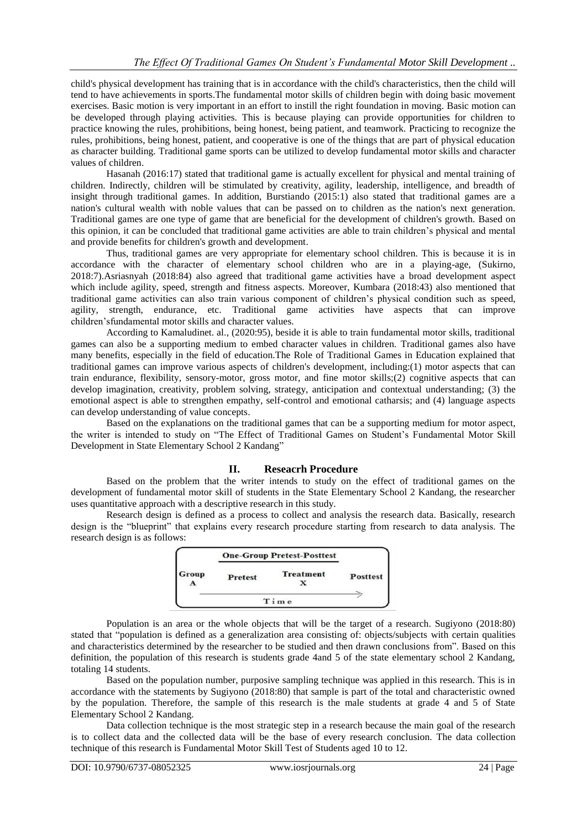child's physical development has training that is in accordance with the child's characteristics, then the child will tend to have achievements in sports.The fundamental motor skills of children begin with doing basic movement exercises. Basic motion is very important in an effort to instill the right foundation in moving. Basic motion can be developed through playing activities. This is because playing can provide opportunities for children to practice knowing the rules, prohibitions, being honest, being patient, and teamwork. Practicing to recognize the rules, prohibitions, being honest, patient, and cooperative is one of the things that are part of physical education as character building. Traditional game sports can be utilized to develop fundamental motor skills and character values of children.

Hasanah (2016:17) stated that traditional game is actually excellent for physical and mental training of children. Indirectly, children will be stimulated by creativity, agility, leadership, intelligence, and breadth of insight through traditional games. In addition, Burstiando (2015:1) also stated that traditional games are a nation's cultural wealth with noble values that can be passed on to children as the nation's next generation. Traditional games are one type of game that are beneficial for the development of children's growth. Based on this opinion, it can be concluded that traditional game activities are able to train children's physical and mental and provide benefits for children's growth and development.

Thus, traditional games are very appropriate for elementary school children. This is because it is in accordance with the character of elementary school children who are in a playing-age, (Sukirno, 2018:7).Asriasnyah (2018:84) also agreed that traditional game activities have a broad development aspect which include agility, speed, strength and fitness aspects. Moreover, Kumbara (2018:43) also mentioned that traditional game activities can also train various component of children's physical condition such as speed, agility, strength, endurance, etc. Traditional game activities have aspects that can improve children'sfundamental motor skills and character values.

According to Kamaludinet. al., (2020:95), beside it is able to train fundamental motor skills, traditional games can also be a supporting medium to embed character values in children. Traditional games also have many benefits, especially in the field of education.The Role of Traditional Games in Education explained that traditional games can improve various aspects of children's development, including:(1) motor aspects that can train endurance, flexibility, sensory-motor, gross motor, and fine motor skills;(2) cognitive aspects that can develop imagination, creativity, problem solving, strategy, anticipation and contextual understanding; (3) the emotional aspect is able to strengthen empathy, self-control and emotional catharsis; and (4) language aspects can develop understanding of value concepts.

Based on the explanations on the traditional games that can be a supporting medium for motor aspect, the writer is intended to study on "The Effect of Traditional Games on Student's Fundamental Motor Skill Development in State Elementary School 2 Kandang"

### **II. Reseacrh Procedure**

Based on the problem that the writer intends to study on the effect of traditional games on the development of fundamental motor skill of students in the State Elementary School 2 Kandang, the researcher uses quantitative approach with a descriptive research in this study.

Research design is defined as a process to collect and analysis the research data. Basically, research design is the "blueprint" that explains every research procedure starting from research to data analysis. The research design is as follows:



Population is an area or the whole objects that will be the target of a research. Sugiyono (2018:80) stated that "population is defined as a generalization area consisting of: objects/subjects with certain qualities and characteristics determined by the researcher to be studied and then drawn conclusions from". Based on this definition, the population of this research is students grade 4and 5 of the state elementary school 2 Kandang, totaling 14 students.

Based on the population number, purposive sampling technique was applied in this research. This is in accordance with the statements by Sugiyono (2018:80) that sample is part of the total and characteristic owned by the population. Therefore, the sample of this research is the male students at grade 4 and 5 of State Elementary School 2 Kandang.

Data collection technique is the most strategic step in a research because the main goal of the research is to collect data and the collected data will be the base of every research conclusion. The data collection technique of this research is Fundamental Motor Skill Test of Students aged 10 to 12.